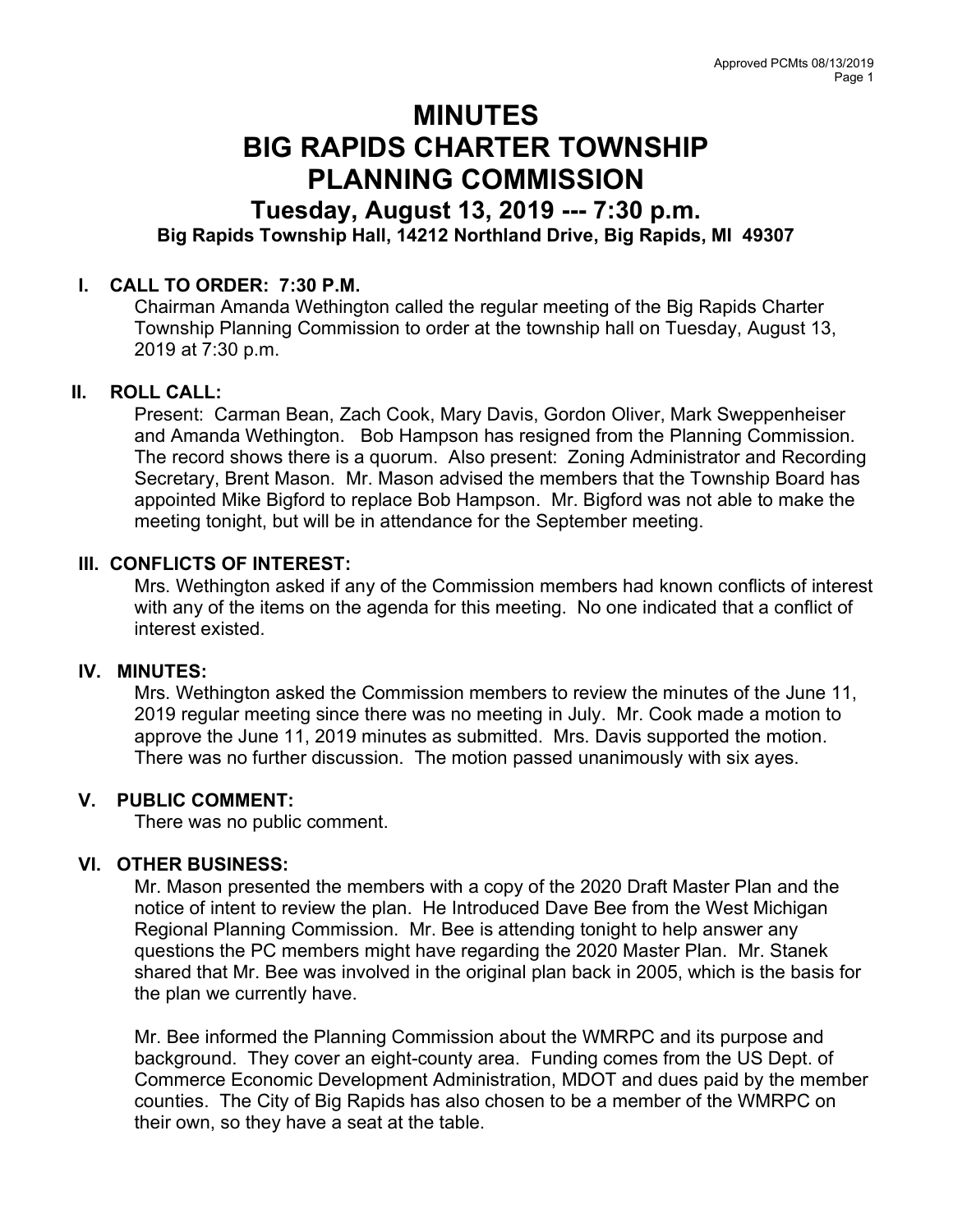# MINUTES BIG RAPIDS CHARTER TOWNSHIP PLANNING COMMISSION

## Tuesday, August 13, 2019 --- 7:30 p.m. Big Rapids Township Hall, 14212 Northland Drive, Big Rapids, MI 49307

### I. CALL TO ORDER: 7:30 P.M.

Chairman Amanda Wethington called the regular meeting of the Big Rapids Charter Township Planning Commission to order at the township hall on Tuesday, August 13, 2019 at 7:30 p.m.

#### II. ROLL CALL:

Present: Carman Bean, Zach Cook, Mary Davis, Gordon Oliver, Mark Sweppenheiser and Amanda Wethington. Bob Hampson has resigned from the Planning Commission. The record shows there is a quorum. Also present: Zoning Administrator and Recording Secretary, Brent Mason. Mr. Mason advised the members that the Township Board has appointed Mike Bigford to replace Bob Hampson. Mr. Bigford was not able to make the meeting tonight, but will be in attendance for the September meeting.

#### III. CONFLICTS OF INTEREST:

Mrs. Wethington asked if any of the Commission members had known conflicts of interest with any of the items on the agenda for this meeting. No one indicated that a conflict of interest existed.

#### IV. MINUTES:

Mrs. Wethington asked the Commission members to review the minutes of the June 11, 2019 regular meeting since there was no meeting in July. Mr. Cook made a motion to approve the June 11, 2019 minutes as submitted. Mrs. Davis supported the motion. There was no further discussion. The motion passed unanimously with six ayes.

#### V. PUBLIC COMMENT:

There was no public comment.

#### VI. OTHER BUSINESS:

Mr. Mason presented the members with a copy of the 2020 Draft Master Plan and the notice of intent to review the plan. He Introduced Dave Bee from the West Michigan Regional Planning Commission. Mr. Bee is attending tonight to help answer any questions the PC members might have regarding the 2020 Master Plan. Mr. Stanek shared that Mr. Bee was involved in the original plan back in 2005, which is the basis for the plan we currently have.

Mr. Bee informed the Planning Commission about the WMRPC and its purpose and background. They cover an eight-county area. Funding comes from the US Dept. of Commerce Economic Development Administration, MDOT and dues paid by the member counties. The City of Big Rapids has also chosen to be a member of the WMRPC on their own, so they have a seat at the table.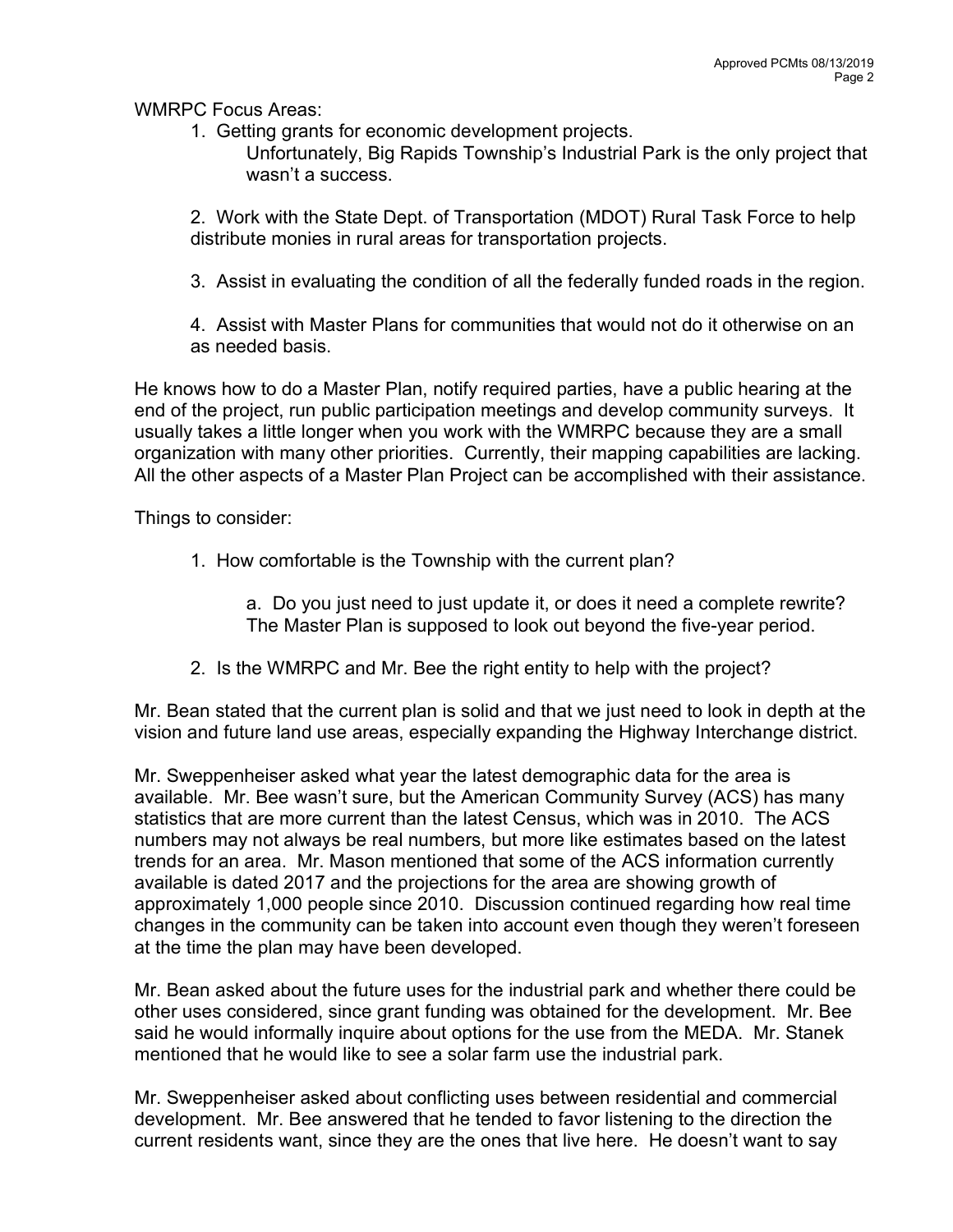WMRPC Focus Areas:

- 1. Getting grants for economic development projects.
	- Unfortunately, Big Rapids Township's Industrial Park is the only project that wasn't a success.

2. Work with the State Dept. of Transportation (MDOT) Rural Task Force to help distribute monies in rural areas for transportation projects.

3. Assist in evaluating the condition of all the federally funded roads in the region.

4. Assist with Master Plans for communities that would not do it otherwise on an as needed basis.

He knows how to do a Master Plan, notify required parties, have a public hearing at the end of the project, run public participation meetings and develop community surveys. It usually takes a little longer when you work with the WMRPC because they are a small organization with many other priorities. Currently, their mapping capabilities are lacking. All the other aspects of a Master Plan Project can be accomplished with their assistance.

Things to consider:

- 1. How comfortable is the Township with the current plan?
	- a. Do you just need to just update it, or does it need a complete rewrite? The Master Plan is supposed to look out beyond the five-year period.
- 2. Is the WMRPC and Mr. Bee the right entity to help with the project?

Mr. Bean stated that the current plan is solid and that we just need to look in depth at the vision and future land use areas, especially expanding the Highway Interchange district.

Mr. Sweppenheiser asked what year the latest demographic data for the area is available. Mr. Bee wasn't sure, but the American Community Survey (ACS) has many statistics that are more current than the latest Census, which was in 2010. The ACS numbers may not always be real numbers, but more like estimates based on the latest trends for an area. Mr. Mason mentioned that some of the ACS information currently available is dated 2017 and the projections for the area are showing growth of approximately 1,000 people since 2010. Discussion continued regarding how real time changes in the community can be taken into account even though they weren't foreseen at the time the plan may have been developed.

Mr. Bean asked about the future uses for the industrial park and whether there could be other uses considered, since grant funding was obtained for the development. Mr. Bee said he would informally inquire about options for the use from the MEDA. Mr. Stanek mentioned that he would like to see a solar farm use the industrial park.

Mr. Sweppenheiser asked about conflicting uses between residential and commercial development. Mr. Bee answered that he tended to favor listening to the direction the current residents want, since they are the ones that live here. He doesn't want to say